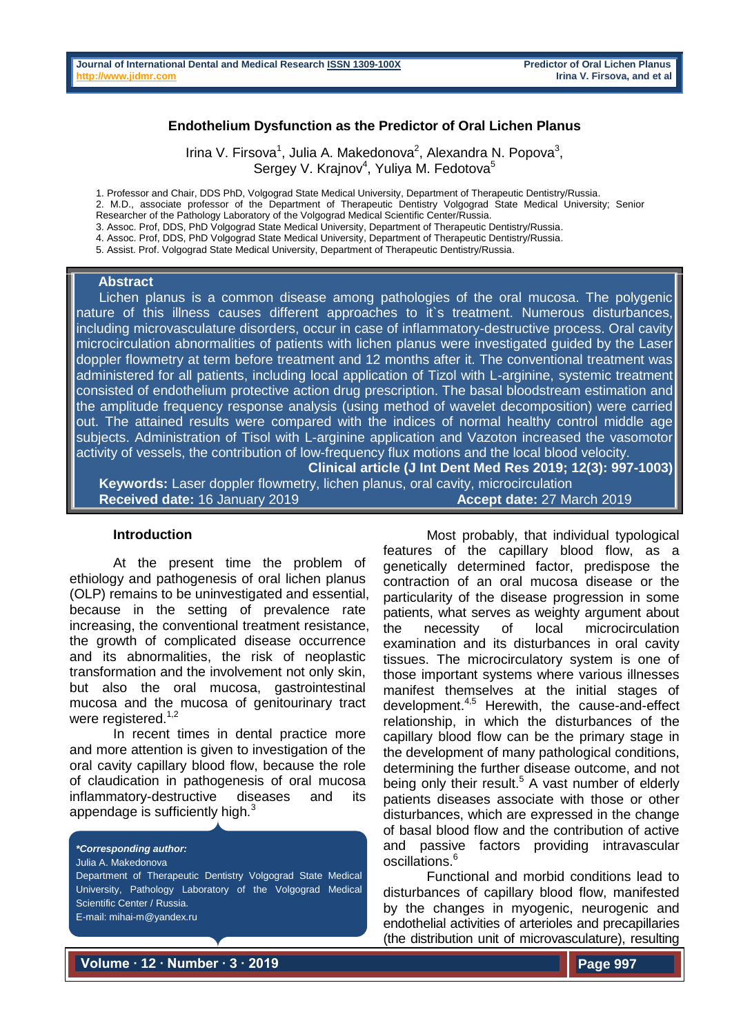### **Endothelium Dysfunction as the Predictor of Oral Lichen Planus**

Irina V. Firsova<sup>1</sup>, Julia A. Makedonova<sup>2</sup>, Alexandra N. Popova<sup>3</sup>, Sergey V. Krajnov<sup>4</sup>, Yuliya M. Fedotova<sup>5</sup>

1. Professor and Chair, DDS PhD, Volgograd State Medical University, Department of Therapeutic Dentistry/Russia. 2. M.D., associate professor of the Department of Therapeutic Dentistry Volgograd State Medical University; Senior

Researcher of the Pathology Laboratory of the Volgograd Medical Scientific Center/Russia.

3. Assoc. Prof, DDS, PhD Volgograd State Medical University, Department of Therapeutic Dentistry/Russia. 4. Assoc. Prof, DDS, PhD Volgograd State Medical University, Department of Therapeutic Dentistry/Russia.

5. Assist. Prof. Volgograd State Medical University, Department of Therapeutic Dentistry/Russia.

### **Abstract**

 Lichen planus is a common disease among pathologies of the oral mucosa. The polygenic nature of this illness causes different approaches to it`s treatment. Numerous disturbances, including microvasculature disorders, occur in case of inflammatory-destructive process. Oral cavity microcirculation abnormalities of patients with lichen planus were investigated guided by the Laser doppler flowmetry at term before treatment and 12 months after it. The conventional treatment was administered for all patients, including local application of Tizol with L-arginine, systemic treatment consisted of endothelium protective action drug prescription. The basal bloodstream estimation and the amplitude frequency response analysis (using method of wavelet decomposition) were carried out. The attained results were compared with the indices of normal healthy control middle age subjects. Administration of Tisol with L-arginine application and Vazoton increased the vasomotor activity of vessels, the contribution of low-frequency flux motions and the local blood velocity.

**Clinical article (J Int Dent Med Res 2019; 12(3): 997-1003) Keywords:** Laser doppler flowmetry, lichen planus, oral cavity, microcirculation **Received date:** 16 January 2019 **Accept date:** 27 March 2019

#### **Introduction**

At the present time the problem of ethiology and pathogenesis of oral lichen planus (OLP) remains to be uninvestigated and essential, because in the setting of prevalence rate increasing, the conventional treatment resistance, the growth of complicated disease occurrence and its abnormalities, the risk of neoplastic transformation and the involvement not only skin, but also the oral mucosa, gastrointestinal mucosa and the mucosa of genitourinary tract were registered.<sup>1,2</sup>

In recent times in dental practice more and more attention is given to investigation of the oral cavity capillary blood flow, because the role of claudication in pathogenesis of oral mucosa inflammatory-destructive diseases and its appendage is sufficiently high. $3$ 

*\*Corresponding author:* Julia A. Makedonova

Department of Therapeutic Dentistry Volgograd State Medical University, Pathology Laboratory of the Volgograd Medical Scientific Center / Russia. E-mail: mihai-m@yandex.ru

Most probably, that individual typological features of the capillary blood flow, as a genetically determined factor, predispose the contraction of an oral mucosa disease or the particularity of the disease progression in some patients, what serves as weighty argument about the necessity of local microcirculation examination and its disturbances in oral cavity tissues. The microcirculatory system is one of those important systems where various illnesses manifest themselves at the initial stages of development. 4,5 Herewith, the cause-and-effect relationship, in which the disturbances of the capillary blood flow can be the primary stage in the development of many pathological conditions, determining the further disease outcome, and not being only their result. <sup>5</sup> A vast number of elderly patients diseases associate with those or other disturbances, which are expressed in the change of basal blood flow and the contribution of active and passive factors providing intravascular oscillations. 6

Functional and morbid conditions lead to disturbances of capillary blood flow, manifested by the changes in myogenic, neurogenic and endothelial activities of arterioles and precapillaries (the distribution unit of microvasculature), resulting

**Volume ∙ 12 ∙ Number ∙ 3 ∙ 2019**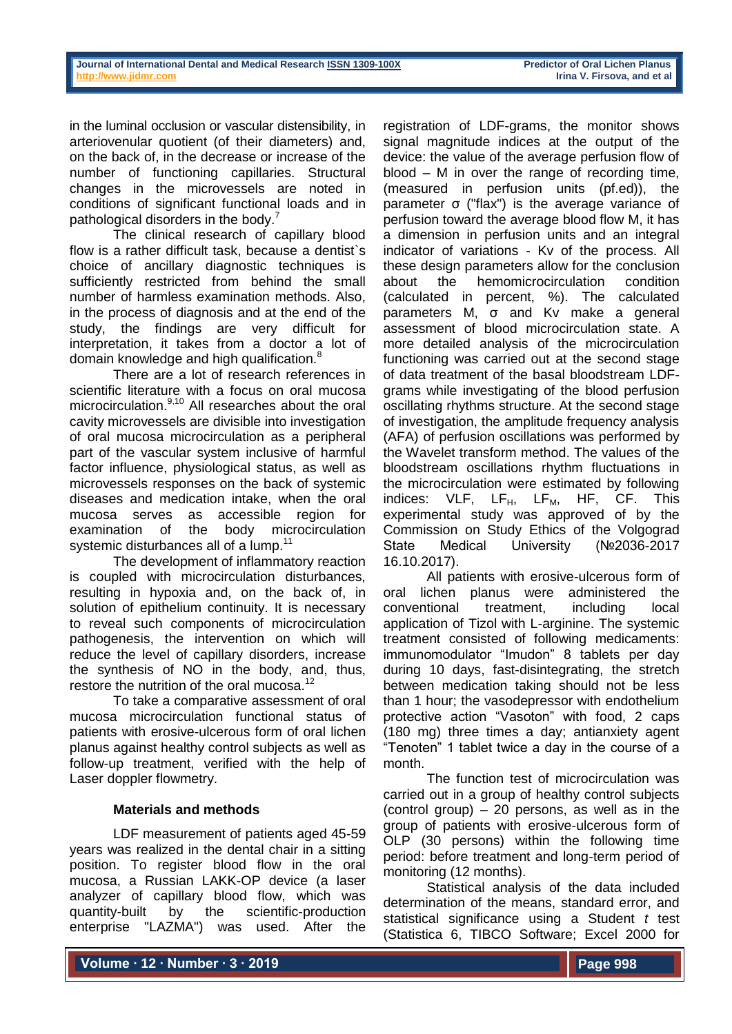in the luminal occlusion or vascular distensibility, in arteriovenular quotient (of their diameters) and, on the back of, in the decrease or increase of the number of functioning capillaries. Structural changes in the microvessels are noted in conditions of significant functional loads and in pathological disorders in the body.<sup>7</sup>

The clinical research of capillary blood flow is a rather difficult task, because a dentist`s choice of ancillary diagnostic techniques is sufficiently restricted from behind the small number of harmless examination methods. Also, in the process of diagnosis and at the end of the study, the findings are very difficult for interpretation, it takes from a doctor a lot of domain knowledge and high qualification.<sup>8</sup>

There are a lot of research references in scientific literature with a focus on oral mucosa microcirculation.<sup>9,10</sup> All researches about the oral cavity microvessels are divisible into investigation of oral mucosa microcirculation as a peripheral part of the vascular system inclusive of harmful factor influence, physiological status, as well as microvessels responses on the back of systemic diseases and medication intake, when the oral mucosa serves as accessible region for examination of the body microcirculation systemic disturbances all of a lump.<sup>11</sup>

The development of inflammatory reaction is coupled with microcirculation disturbances, resulting in hypoxia and, on the back of, in solution of epithelium continuity. It is necessary to reveal such components of microcirculation pathogenesis, the intervention on which will reduce the level of capillary disorders, increase the synthesis of NO in the body, and, thus, restore the nutrition of the oral mucosa.<sup>12</sup>

To take a comparative assessment of oral mucosa microcirculation functional status of patients with erosive-ulcerous form of oral lichen planus against healthy control subjects as well as follow-up treatment, verified with the help of Laser doppler flowmetry.

# **Materials and methods**

LDF measurement of patients aged 45-59 years was realized in the dental chair in a sitting position. To register blood flow in the oral mucosa, a Russian LAKK-OP device (a laser analyzer of capillary blood flow, which was quantity-built by the scientific-production enterprise "LAZMA") was used. After the

registration of LDF-grams, the monitor shows signal magnitude indices at the output of the device: the value of the average perfusion flow of blood – M in over the range of recording time, (measured in perfusion units (pf.ed)), the parameter σ ("flax") is the average variance of perfusion toward the average blood flow M, it has a dimension in perfusion units and an integral indicator of variations - Kv of the process. All these design parameters allow for the conclusion about the hemomicrocirculation condition (calculated in percent, %). The calculated parameters M, σ and Kv make a general assessment of blood microcirculation state. A more detailed analysis of the microcirculation functioning was carried out at the second stage of data treatment of the basal bloodstream LDFgrams while investigating of the blood perfusion oscillating rhythms structure. At the second stage of investigation, the amplitude frequency analysis (AFA) of perfusion oscillations was performed by the Wavelet transform method. The values of the bloodstream oscillations rhythm fluctuations in the microcirculation were estimated by following indices:  $VLF$ ,  $LF$ <sub>H</sub>,  $LF$ <sub>M</sub>,  $HF$ ,  $CF$ . This experimental study was approved of by the Commission on Study Ethics of the Volgograd State Medical University (№2036-2017 16.10.2017).

All patients with erosive-ulcerous form of oral lichen planus were administered the conventional treatment, including local application of Tizol with L-arginine. The systemic treatment consisted of following medicaments: immunomodulator "Imudon" 8 tablets per day during 10 days, fast-disintegrating, the stretch between medication taking should not be less than 1 hour; the vasodepressor with endothelium protective action "Vasoton" with food, 2 caps (180 mg) three times a day; antianxiety agent "Tenoten" 1 tablet twice a day in the course of a month.

The function test of microcirculation was carried out in a group of healthy control subjects (control group)  $-20$  persons, as well as in the group of patients with erosive-ulcerous form of OLP (30 persons) within the following time period: before treatment and long-term period of monitoring (12 months).

Statistical analysis of the data included determination of the means, standard error, and statistical significance using a Student *t* test (Statistica 6, TIBCO Software; Excel 2000 for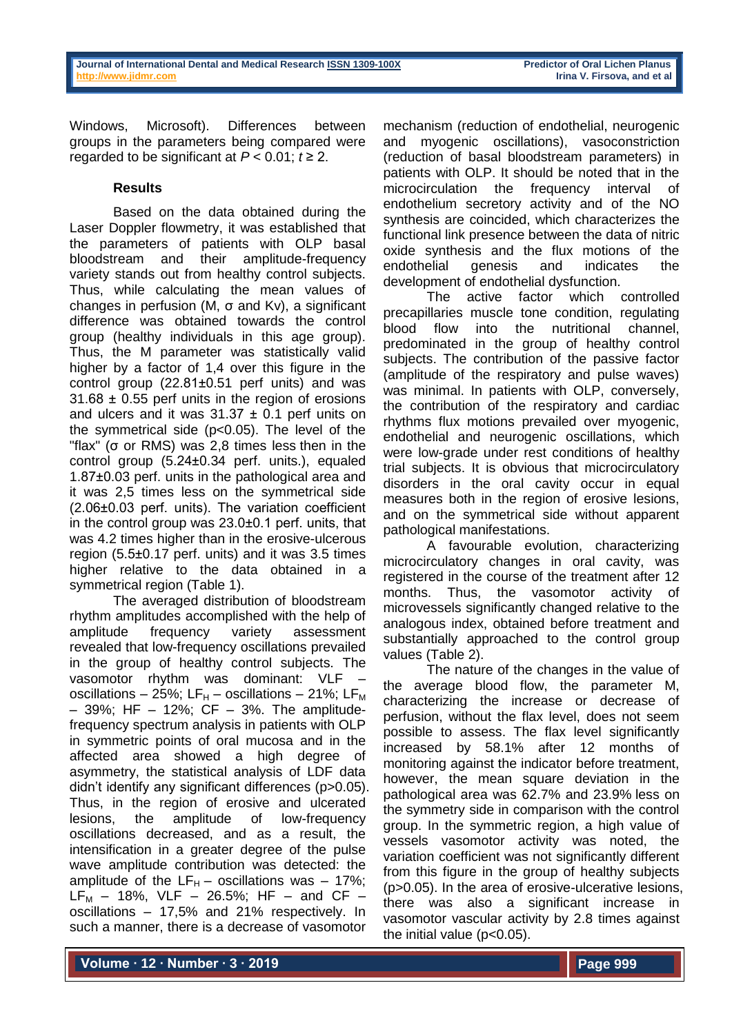Windows, Microsoft). Differences between groups in the parameters being compared were regarded to be significant at  $P < 0.01$ ;  $t \ge 2$ .

# **Results**

Based on the data obtained during the Laser Doppler flowmetry, it was established that the parameters of patients with OLP basal bloodstream and their amplitude-frequency variety stands out from healthy control subjects. Thus, while calculating the mean values of changes in perfusion (M, σ and Kv), a significant difference was obtained towards the control group (healthy individuals in this age group). Thus, the M parameter was statistically valid higher by a factor of 1,4 over this figure in the control group (22.81±0.51 perf units) and was 31.68 ± 0.55 perf units in the region of erosions and ulcers and it was  $31.37 \pm 0.1$  perf units on the symmetrical side (p<0.05). The level of the "flax" (σ or RMS) was [2,8 times](https://www.multitran.ru/c/m.exe?t=3475202_1_2) less [then](https://www.multitran.ru/c/m.exe?t=3475202_1_2&s1=%E2%2010%20%F0%E0%E7%20%EC%E5%ED%FC%F8%E5) in the control group (5.24±0.34 perf. units.), equaled 1.87±0.03 perf. units in the pathological area and it was 2,5 times less on the symmetrical side (2.06±0.03 perf. units). The variation coefficient in the control group was 23.0±0.1 perf. units, that was 4.2 times higher than in the erosive-ulcerous region (5.5±0.17 perf. units) and it was 3.5 times higher relative to the data obtained in a symmetrical region (Table 1).

The averaged distribution of bloodstream rhythm amplitudes accomplished with the help of amplitude frequency variety assessment revealed that low-frequency oscillations prevailed in the group of healthy control subjects. The vasomotor rhythm was dominant: VLF – oscillations – 25%; LF $_{H}$  – oscillations – 21%; LF $_{M}$ – 39%; HF – 12%; CF – 3%. The amplitudefrequency spectrum analysis in patients with OLP in symmetric points of oral mucosa and in the affected area showed a high degree of asymmetry, the statistical analysis of LDF data didn't identify any significant differences (p>0.05). Thus, in the region of erosive and ulcerated lesions, the amplitude of low-frequency oscillations decreased, and as a result, the intensification in a greater degree of the pulse wave amplitude contribution was detected: the amplitude of the  $LF_{H}$  – oscillations was – 17%;  $LF_{M}$  – 18%, VLF – 26.5%; HF – and CF – oscillations – 17,5% and 21% respectively. In such a manner, there is a decrease of vasomotor

mechanism (reduction of endothelial, neurogenic and myogenic oscillations), vasoconstriction (reduction of basal bloodstream parameters) in patients with OLP. It should be noted that in the microcirculation the frequency interval of endothelium secretory activity and of the NO synthesis are coincided, which characterizes the functional link presence between the data of nitric oxide synthesis and the flux motions of the endothelial genesis and indicates the development of endothelial dysfunction.

The active factor which controlled precapillaries muscle tone condition, regulating blood flow into the nutritional channel, predominated in the group of healthy control subjects. The contribution of the passive factor (amplitude of the respiratory and pulse waves) was minimal. In patients with OLP, conversely, the contribution of the respiratory and cardiac rhythms flux motions prevailed over myogenic, endothelial and neurogenic oscillations, which were low-grade under rest conditions of healthy trial subjects. It is obvious that microcirculatory disorders in the oral cavity occur in equal measures both in the region of erosive lesions, and on the symmetrical side without apparent pathological manifestations.

A favourable evolution, characterizing microcirculatory changes in oral cavity, was registered in the course of the treatment after 12 months. Thus, the vasomotor activity of microvessels significantly changed relative to the analogous index, obtained before treatment and substantially approached to the control group values (Table 2).

The nature of the changes in the value of the average blood flow, the parameter M, characterizing the increase or decrease of perfusion, without the flax level, does not seem possible to assess. The flax level significantly increased by 58.1% after 12 months of monitoring against the indicator before treatment, however, the mean square deviation in the pathological area was 62.7% and 23.9% [less](https://www.multitran.ru/c/m.exe?t=3484780_1_2&s1=%ED%E0%20(10)%20%EC%E5%ED%FC%F8%E5) on the symmetry side in comparison with the control group. In the symmetric region, a high value of vessels vasomotor activity was noted, the variation coefficient was not significantly different from this figure in the group of healthy subjects (p>0.05). In the area of erosive-ulcerative lesions, there was also a significant increase in vasomotor vascular activity by 2.8 times against the initial value  $(p<0.05)$ .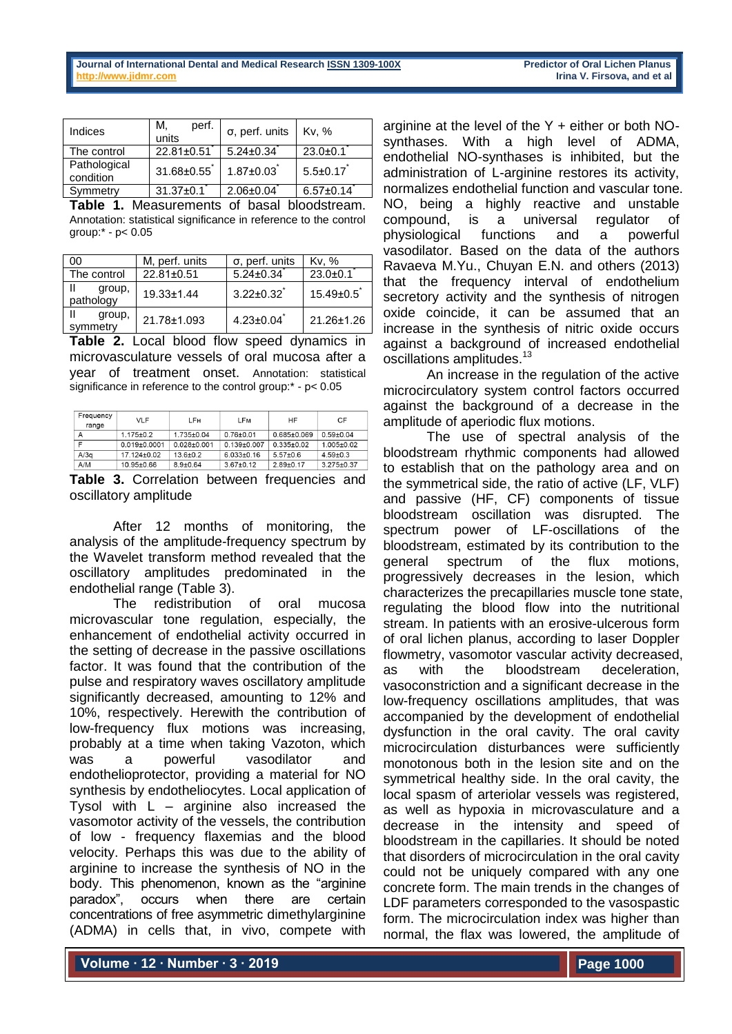| Indices                   | М,<br>perf.<br>units | $\sigma$ , perf. units | Kv. %           |
|---------------------------|----------------------|------------------------|-----------------|
| The control               | $22.81 \pm 0.51$     | $5.24 \pm 0.34$        | $23.0 \pm 0.1$  |
| Pathological<br>condition | 31.68±0.55           | $1.87 \pm 0.03$        | $5.5 \pm 0.17$  |
| Symmetry                  | $31.37 \pm 0.1$      | $2.06 \pm 0.04$        | $6.57 \pm 0.14$ |

**Table 1.** Measurements of basal bloodstream. Annotation: statistical significance in reference to the control group:\* - р< 0.05

| 00                  | M, perf. units   | $\sigma$ , perf. units | Kv. %           |
|---------------------|------------------|------------------------|-----------------|
| The control         | 22.81±0.51       | $5.24 \pm 0.34$        | $23.0 \pm 0.1$  |
| group,<br>pathology | $19.33 \pm 1.44$ | $3.22 \pm 0.32$        | $15.49 \pm 0.5$ |
| group,<br>symmetry  | 21.78±1.093      | $4.23 \pm 0.04$        | 21.26±1.26      |

**Table 2.** Local blood flow speed dynamics in microvasculature vessels of oral mucosa after a year of treatment onset. Annotation: statistical significance in reference to the control group:\* -  $p < 0.05$ 

| Frequency<br>range | VLF              | LFн              | LFM              | <b>HF</b>         | CF               |
|--------------------|------------------|------------------|------------------|-------------------|------------------|
| А                  | $1.175 + 0.2$    | $1.735 \pm 0.04$ | $0.76 + 0.01$    | $0.685 \pm 0.069$ | $0.59 + 0.04$    |
| F                  | $0.019 + 0.0001$ | 0 028+0 001      | $0.139 + 0.007$  | $0.335 \pm 0.02$  | $1.005 \pm 0.02$ |
| A/3a               | 17.124±0.02      | $13.6 + 0.2$     | $6.033 \pm 0.16$ | $5.57 \pm 0.6$    | $4.59 \pm 0.3$   |
| A/M                | 10.95±0.66       | $8.9 \pm 0.64$   | $3.67 \pm 0.12$  | $2.89 + 0.17$     | $3.275 \pm 0.37$ |

**Table 3.** Correlation between frequencies and oscillatory amplitude

After 12 months of monitoring, the analysis of the amplitude-frequency spectrum by the Wavelet transform method revealed that the oscillatory amplitudes predominated in the endothelial range (Table 3).

The redistribution of oral mucosa microvascular tone regulation, especially, the enhancement of endothelial activity occurred in the setting of decrease in the passive oscillations factor. It was found that the contribution of the pulse and respiratory waves oscillatory amplitude significantly decreased, amounting to 12% and 10%, respectively. Herewith the contribution of low-frequency flux motions was increasing, probably at a time when taking Vazoton, which was a powerful vasodilator and endothelioprotector, providing a material for NO synthesis by endotheliocytes. Local application of Tysol with  $L -$  arginine also increased the vasomotor activity of the vessels, the contribution of low - frequency flaxemias and the blood velocity. Perhaps this was due to the ability of arginine to increase the synthesis of NO in the body. This phenomenon, known as the "arginine paradox", occurs when there are certain concentrations of free asymmetric dimethylarginine (ADMA) in cells that, in vivo, compete with

arginine at the level of the  $Y$  + either or both NOsynthases. With a high level of ADMA, endothelial NO-synthases is inhibited, but the administration of L-arginine restores its activity, normalizes endothelial function and vascular tone. NO, being a highly reactive and unstable compound, is a universal regulator of physiological functions and a powerful vasodilator. Based on the data of the authors Ravaeva M.Yu., Chuyan E.N. and others (2013) that the frequency interval of endothelium secretory activity and the synthesis of nitrogen oxide coincide, it can be assumed that an increase in the synthesis of nitric oxide occurs against a background of increased endothelial oscillations amplitudes. 13

An increase in the regulation of the active microcirculatory system control factors occurred against the background of a decrease in the amplitude of aperiodic flux motions.

The use of spectral analysis of the bloodstream rhythmic components had allowed to establish that on the pathology area and on the symmetrical side, the ratio of active (LF, VLF) and passive (HF, CF) components of tissue bloodstream oscillation was disrupted. The spectrum power of LF-oscillations of the bloodstream, estimated by its contribution to the general spectrum of the flux motions, progressively decreases in the lesion, which characterizes the precapillaries muscle tone state, regulating the blood flow into the nutritional stream. In patients with an erosive-ulcerous form of oral lichen planus, according to laser Doppler flowmetry, vasomotor vascular activity decreased, as with the bloodstream deceleration, vasoconstriction and a significant decrease in the low-frequency oscillations amplitudes, that was accompanied by the development of endothelial dysfunction in the oral cavity. The oral cavity microcirculation disturbances were sufficiently monotonous both in the lesion site and on the symmetrical healthy side. In the oral cavity, the local spasm of arteriolar vessels was registered, as well as hypoxia in microvasculature and a decrease in the intensity and speed of bloodstream in the capillaries. It should be noted that disorders of microcirculation in the oral cavity could not be uniquely compared with any one concrete form. The main trends in the changes of LDF parameters corresponded to the vasospastic form. The microcirculation index was higher than normal, the flax was lowered, the amplitude of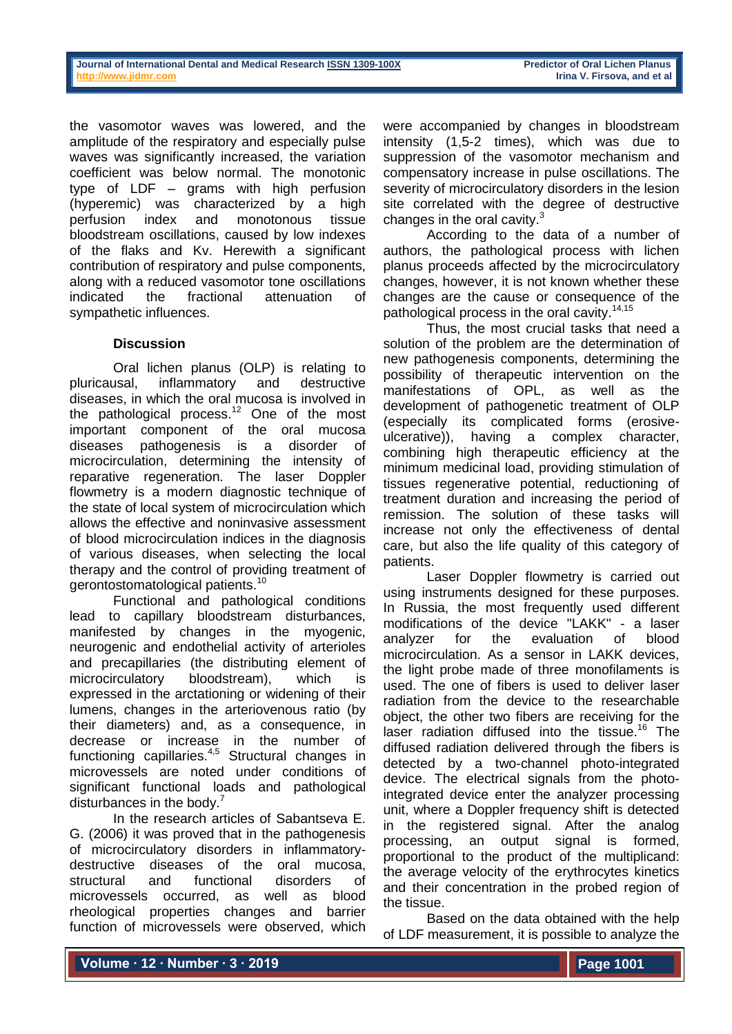| Journal of International Dental and Medical Research ISSN 1309-100X |  |  |  |
|---------------------------------------------------------------------|--|--|--|
| http://www.iidmr.com                                                |  |  |  |

the vasomotor waves was lowered, and the amplitude of the respiratory and especially pulse waves was significantly increased, the variation coefficient was below normal. The monotonic type of LDF – grams with high perfusion (hyperemic) was characterized by a high perfusion index and monotonous tissue bloodstream oscillations, caused by low indexes of the flaks and Kv. Herewith a significant contribution of respiratory and pulse components, along with a reduced vasomotor tone oscillations indicated the fractional attenuation of sympathetic influences.

## **Discussion**

Oral lichen planus (OLP) is relating to pluricausal, inflammatory and destructive diseases, in which the oral mucosa is involved in the pathological process.<sup>12</sup> One of the most important component of the oral mucosa diseases pathogenesis is a disorder of microcirculation, determining the intensity of reparative regeneration. The laser Doppler flowmetry is a modern diagnostic technique of the state of local system of microcirculation which allows the effective and noninvasive assessment of blood microcirculation indices in the diagnosis of various diseases, when selecting the local therapy and the control of providing treatment of gerontostomatological patients.<sup>10</sup>

Functional and pathological conditions lead to capillary bloodstream disturbances, manifested by changes in the myogenic, neurogenic and endothelial activity of arterioles and precapillaries (the distributing element of microcirculatory bloodstream), which is expressed in the arctationing or widening of their lumens, changes in the arteriovenous ratio (by their diameters) and, as a consequence, in decrease or increase in the number of functioning capillaries.<sup>4,5</sup> Structural changes in microvessels are noted under conditions of significant functional loads and pathological disturbances in the body.<sup>7</sup>

In the research articles of Sabantseva E. G. (2006) it was proved that in the pathogenesis of microcirculatory disorders in inflammatorydestructive diseases of the oral mucosa, structural and functional disorders of microvessels occurred, as well as blood rheological properties changes and barrier function of microvessels were observed, which

were accompanied by changes in bloodstream intensity (1,5-2 times), which was due to suppression of the vasomotor mechanism and compensatory increase in pulse oscillations. The severity of microcirculatory disorders in the lesion site correlated with the degree of destructive changes in the oral cavity.<sup>3</sup>

According to the data of a number of authors, the pathological process with lichen planus proceeds affected by the microcirculatory changes, however, it is not known whether these changes are the cause or consequence of the pathological process in the oral cavity.<sup>14,15</sup>

Thus, the most crucial tasks that need a solution of the problem are the determination of new pathogenesis components, determining the possibility of therapeutic intervention on the manifestations of OPL, as well as the development of pathogenetic treatment of OLP (especially its complicated forms (erosiveulcerative)), having a complex character, combining high therapeutic efficiency at the minimum medicinal load, providing stimulation of tissues regenerative potential, reductioning of treatment duration and increasing the period of remission. The solution of these tasks will increase not only the effectiveness of dental care, but also the life quality of this category of patients.

Laser Doppler flowmetry is carried out using instruments designed for these purposes. In Russia, the most frequently used different modifications of the device "LAKK" - a laser analyzer for the evaluation of blood microcirculation. As a sensor in LAKK devices, the light probe made of three monofilaments is used. The one of fibers is used to deliver laser radiation from the device to the researchable object, the other two fibers are receiving for the laser radiation diffused into the tissue.<sup>16</sup> The diffused radiation delivered through the fibers is detected by a two-channel photo-integrated device. The electrical signals from the photointegrated device enter the analyzer processing unit, where a Doppler frequency shift is detected in the registered signal. After the analog processing, an output signal is formed, proportional to the product of the multiplicand: the average velocity of the erythrocytes kinetics and their concentration in the probed region of the tissue.

Based on the data obtained with the help of LDF measurement, it is possible to analyze the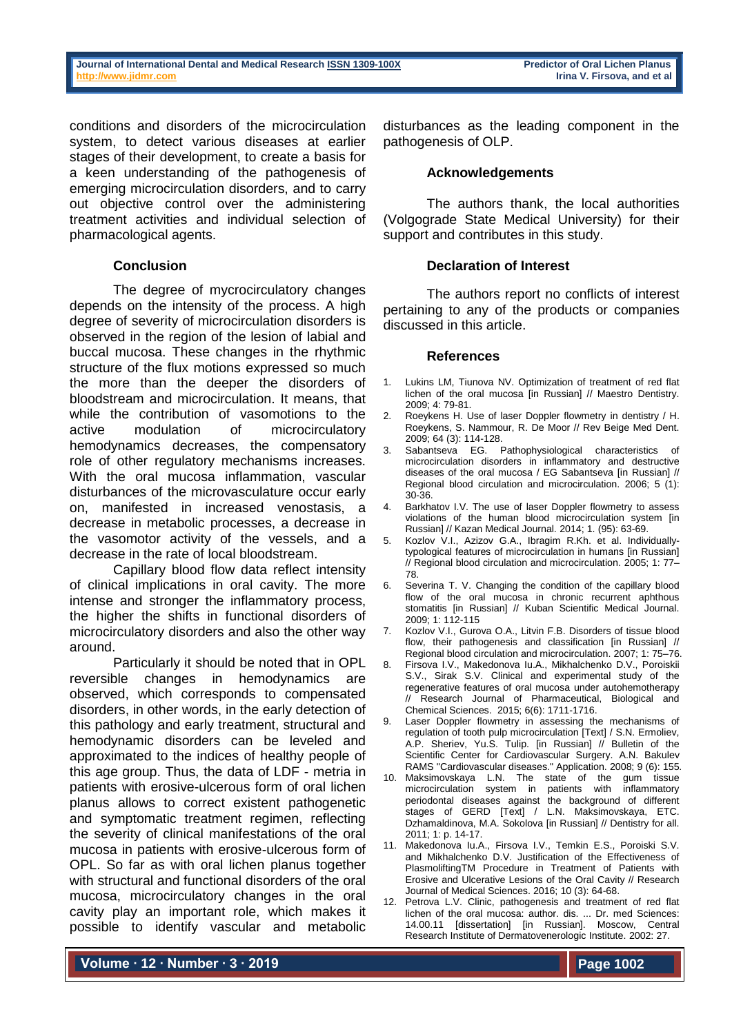conditions and disorders of the microcirculation system, to detect various diseases at earlier stages of their development, to create a basis for a keen understanding of the pathogenesis of emerging microcirculation disorders, and to carry out objective control over the administering treatment activities and individual selection of pharmacological agents.

## **Conclusion**

The degree of mycrocirculatory changes depends on the intensity of the process. A high degree of severity of microcirculation disorders is observed in the region of the lesion of labial and buccal mucosa. These changes in the rhythmic structure of the flux motions expressed so much the more than the deeper the disorders of bloodstream and microcirculation. It means, that while the contribution of vasomotions to the active modulation of microcirculatory hemodynamics decreases, the compensatory role of other regulatory mechanisms increases. With the oral mucosa inflammation, vascular disturbances of the microvasculature occur early on, manifested in increased venostasis, a decrease in metabolic processes, a decrease in the vasomotor activity of the vessels, and a decrease in the rate of local bloodstream.

Capillary blood flow data reflect intensity of clinical implications in oral cavity. The more intense and stronger the inflammatory process, the higher the shifts in functional disorders of microcirculatory disorders and also the other way around.

Particularly it should be noted that in OPL reversible changes in hemodynamics are observed, which corresponds to compensated disorders, in other words, in the early detection of this pathology and early treatment, structural and hemodynamic disorders can be leveled and approximated to the indices of healthy people of this age group. Thus, the data of LDF - metria in patients with erosive-ulcerous form of oral lichen planus allows to correct existent pathogenetic and symptomatic treatment regimen, reflecting the severity of clinical manifestations of the oral mucosa in patients with erosive-ulcerous form of OPL. So far as with oral lichen planus together with structural and functional disorders of the oral mucosa, microcirculatory changes in the oral cavity play an important role, which makes it possible to identify vascular and metabolic

disturbances as the leading component in the pathogenesis of OLP.

#### **Acknowledgements**

The authors thank, the local authorities (Volgograde State Medical University) for their support and contributes in this study.

#### **Declaration of Interest**

The authors report no conflicts of interest pertaining to any of the products or companies discussed in this article.

#### **References**

- Lukins LM, Tiunova NV. Optimization of treatment of red flat lichen of the oral mucosa [in Russian] // Maestro Dentistry. 2009; 4: 79-81.
- 2. Roeykens H. Use of laser Doppler flowmetry in dentistry / H. Roeykens, S. Nammour, R. De Moor // Rev Beige Med Dent. 2009; 64 (3): 114-128.
- 3. Sabantseva EG. Pathophysiological characteristics of microcirculation disorders in inflammatory and destructive diseases of the oral mucosa / EG Sabantseva [in Russian] // Regional blood circulation and microcirculation. 2006; 5 (1): 30-36.
- 4. Barkhatov I.V. The use of laser Doppler flowmetry to assess violations of the human blood microcirculation system lin Russian] // Kazan Medical Journal. 2014; 1. (95): 63-69.
- 5. Kozlov V.I., Azizov G.A., Ibragim R.Kh. et al. Individuallytypological features of microcirculation in humans [in Russian] // Regional blood circulation and microcirculation. 2005; 1: 77– 78.
- 6. Severina T. V. Changing the condition of the capillary blood flow of the oral mucosa in chronic recurrent aphthous stomatitis [in Russian] // Kuban Scientific Medical Journal. 2009; 1: 112-115
- 7. Kozlov V.I., Gurova O.A., Litvin F.B. Disorders of tissue blood flow, their pathogenesis and classification [in Russian] // Regional blood circulation and microcirculation. 2007; 1: 75–76.
- 8. Firsova I.V., Makedonova Iu.A., Mikhalchenko D.V., Poroiskii S.V., Sirak S.V. Clinical and experimental study of the [regenerative features of oral mucosa under autohemotherapy](http://elibrary.ru/item.asp?id=25012523) // [Research Journal of Pharmaceutical, Biological and](http://elibrary.ru/contents.asp?issueid=1478169)  [Chemical Sciences.](http://elibrary.ru/contents.asp?issueid=1478169) 2015; 6(6): 1711-1716.
- 9. Laser Doppler flowmetry in assessing the mechanisms of regulation of tooth pulp microcirculation [Text] / S.N. Ermoliev, A.P. Sheriev, Yu.S. Tulip. [in Russian] // Bulletin of the Scientific Center for Cardiovascular Surgery. A.N. Bakulev RAMS "Cardiovascular diseases." Application. 2008; 9 (6): 155.
- 10. Maksimovskaya L.N. The state of the gum tissue microcirculation system in patients with inflammatory periodontal diseases against the background of different stages of GERD [Text] / L.N. Maksimovskaya, ETC. Dzhamaldinova, M.A. Sokolova [in Russian] // Dentistry for all. 2011; 1: p. 14-17.
- 11. Makedonova Iu.A., Firsova I.V., Temkin E.S., Poroiski S.V. and Mikhalchenko D.V. Justification of the Effectiveness of PlasmoliftingTM Procedure in Treatment of Patients with Erosive and Ulcerative Lesions of the Oral Cavity // Research Journal of Medical Sciences. 2016; 10 (3): 64-68.
- 12. Petrova L.V. Clinic, pathogenesis and treatment of red flat lichen of the oral mucosa: author. dis. ... Dr. med Sciences: 14.00.11 [dissertation] [in Russian]. Moscow, Central Research Institute of Dermatovenerologic Institute. 2002: 27.

**Volume ∙ 12 ∙ Number ∙ 3 ∙ 2019**